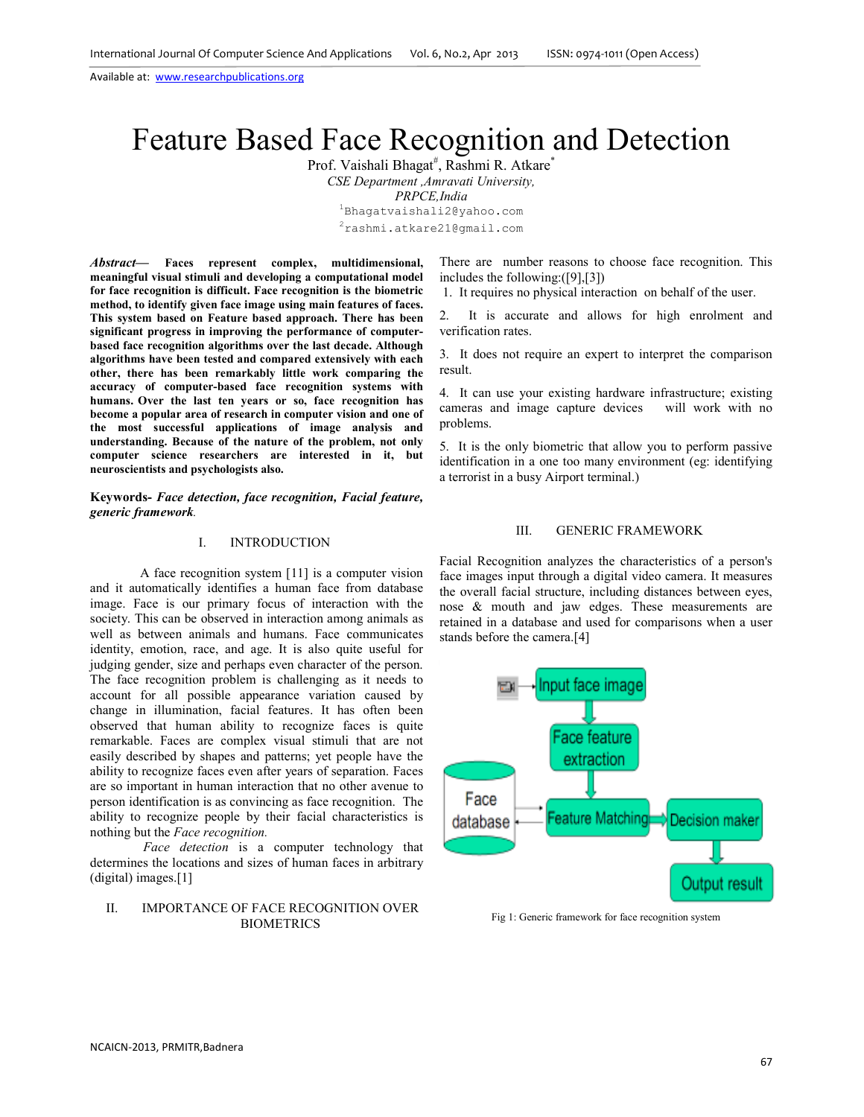Available at: www.researchpublications.org

# Feature Based Face Recognition and Detection

Prof. Vaishali Bhagat<sup>#</sup>, Rashmi R. Atkare<sup>\*</sup>

*CSE Department ,Amravati University,* 

*PRPCE,India* 

<sup>1</sup>Bhagatvaishali2@yahoo.com

<sup>2</sup>rashmi.atkare21@gmail.com

*Abstract***— Faces represent complex, multidimensional, meaningful visual stimuli and developing a computational model for face recognition is difficult. Face recognition is the biometric method, to identify given face image using main features of faces. This system based on Feature based approach. There has been significant progress in improving the performance of computerbased face recognition algorithms over the last decade. Although algorithms have been tested and compared extensively with each other, there has been remarkably little work comparing the accuracy of computer-based face recognition systems with humans. Over the last ten years or so, face recognition has become a popular area of research in computer vision and one of the most successful applications of image analysis and understanding. Because of the nature of the problem, not only computer science researchers are interested in it, but neuroscientists and psychologists also.** 

**Keywords-** *Face detection, face recognition, Facial feature, generic framework.*

## I. INTRODUCTION

 A face recognition system [11] is a computer vision and it automatically identifies a human face from database image. Face is our primary focus of interaction with the society. This can be observed in interaction among animals as well as between animals and humans. Face communicates identity, emotion, race, and age. It is also quite useful for judging gender, size and perhaps even character of the person. The face recognition problem is challenging as it needs to account for all possible appearance variation caused by change in illumination, facial features. It has often been observed that human ability to recognize faces is quite remarkable. Faces are complex visual stimuli that are not easily described by shapes and patterns; yet people have the ability to recognize faces even after years of separation. Faces are so important in human interaction that no other avenue to person identification is as convincing as face recognition. The ability to recognize people by their facial characteristics is nothing but the *Face recognition.*

*Face detection* is a computer technology that determines the locations and sizes of human faces in arbitrary (digital) images.[1]

# II. IMPORTANCE OF FACE RECOGNITION OVER BIOMETRICS

There are number reasons to choose face recognition. This includes the following:([9],[3])

1. It requires no physical interaction on behalf of the user.

2. It is accurate and allows for high enrolment and verification rates.

3. It does not require an expert to interpret the comparison result.

4. It can use your existing hardware infrastructure; existing cameras and image capture devices will work with no problems.

5. It is the only biometric that allow you to perform passive identification in a one too many environment (eg: identifying) a terrorist in a busy Airport terminal.)

#### III. GENERIC FRAMEWORK

Facial Recognition analyzes the characteristics of a person's face images input through a digital video camera. It measures the overall facial structure, including distances between eyes, nose & mouth and jaw edges. These measurements are retained in a database and used for comparisons when a user stands before the camera.[4]



Fig 1: Generic framework for face recognition system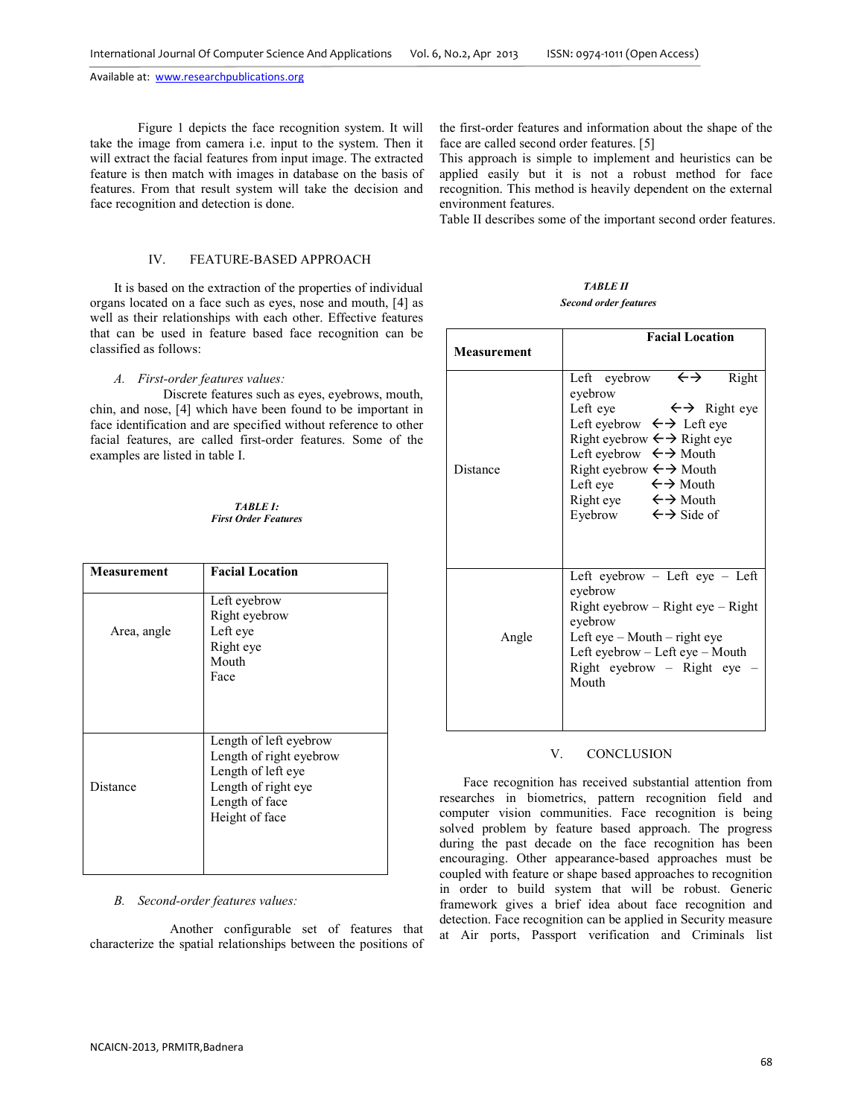Available at: www.researchpublications.org

Figure 1 depicts the face recognition system. It will take the image from camera i.e. input to the system. Then it will extract the facial features from input image. The extracted feature is then match with images in database on the basis of features. From that result system will take the decision and face recognition and detection is done.

# IV. FEATURE-BASED APPROACH

It is based on the extraction of the properties of individual organs located on a face such as eyes, nose and mouth, [4] as well as their relationships with each other. Effective features that can be used in feature based face recognition can be classified as follows:

#### *A. First-order features values:*

 Discrete features such as eyes, eyebrows, mouth, chin, and nose, [4] which have been found to be important in face identification and are specified without reference to other facial features, are called first-order features. Some of the examples are listed in table I.

*TABLE I: First Order Features* 

| Measurement | <b>Facial Location</b>                                                                                                             |
|-------------|------------------------------------------------------------------------------------------------------------------------------------|
| Area, angle | Left eyebrow<br>Right eyebrow<br>Left eye<br>Right eye<br>Mouth<br>Face                                                            |
| Distance    | Length of left eyebrow<br>Length of right eyebrow<br>Length of left eye<br>Length of right eye<br>Length of face<br>Height of face |

# *B. Second-order features values:*

Another configurable set of features that characterize the spatial relationships between the positions of the first-order features and information about the shape of the face are called second order features. [5]

This approach is simple to implement and heuristics can be applied easily but it is not a robust method for face recognition. This method is heavily dependent on the external environment features.

Table II describes some of the important second order features.

*TABLE II Second order features* 

|                    | <b>Facial Location</b>                                                                                                                                                                                                                                                                                                                                                                                                      |
|--------------------|-----------------------------------------------------------------------------------------------------------------------------------------------------------------------------------------------------------------------------------------------------------------------------------------------------------------------------------------------------------------------------------------------------------------------------|
| <b>Measurement</b> |                                                                                                                                                                                                                                                                                                                                                                                                                             |
| Distance           | Left eyebrow $\leftrightarrow$<br>Right<br>eyebrow<br>Left eye $\leftarrow \rightarrow$ Right eye<br>Left eyebrow $\leftrightarrow$ Left eye<br>Right eyebrow $\leftarrow \rightarrow$ Right eye<br>Left eyebrow $\leftrightarrow$ Mouth<br>Right eyebrow $\leftarrow \rightarrow$ Mouth<br>Left eye $\leftarrow \rightarrow$ Mouth<br>Right eye $\leftarrow \rightarrow$ Mouth<br>Eyebrow $\leftarrow \rightarrow$ Side of |
| Angle              | Left eyebrow - Left eye - Left<br>eyebrow<br>$Right$ eyebrow – Right eye – Right<br>eyebrow<br>Left eye $-$ Mouth $-$ right eye<br>Left eyebrow – Left eye – Mouth<br>Right eyebrow - Right eye<br>Mouth                                                                                                                                                                                                                    |

#### V. CONCLUSION

Face recognition has received substantial attention from researches in biometrics, pattern recognition field and computer vision communities. Face recognition is being solved problem by feature based approach. The progress during the past decade on the face recognition has been encouraging. Other appearance-based approaches must be coupled with feature or shape based approaches to recognition in order to build system that will be robust. Generic framework gives a brief idea about face recognition and detection. Face recognition can be applied in Security measure at Air ports, Passport verification and Criminals list